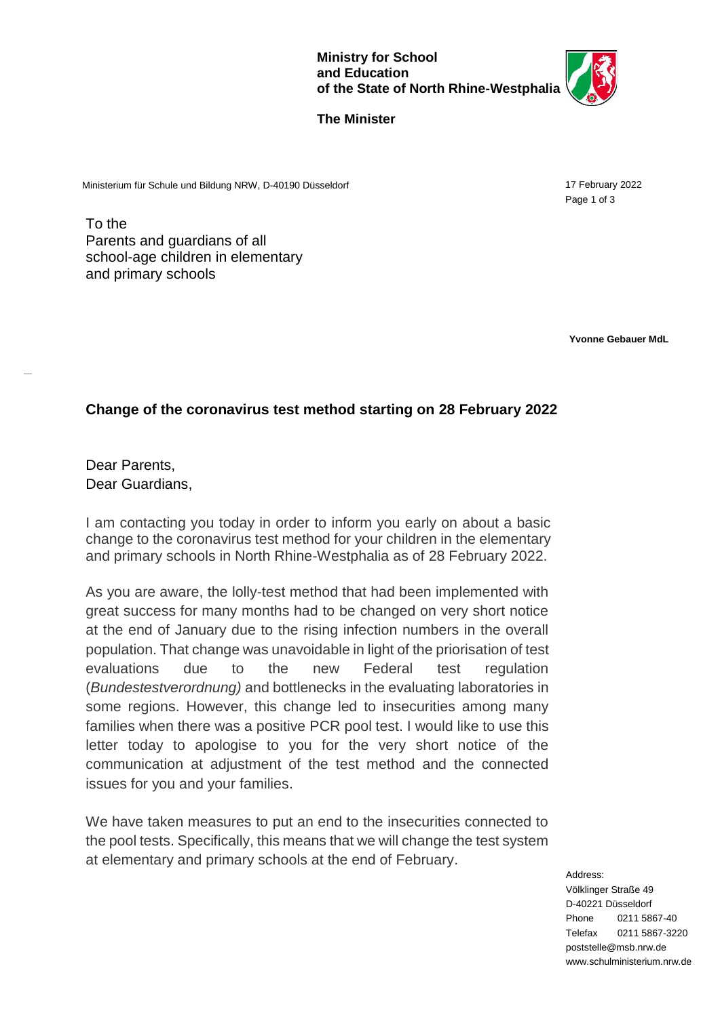

17 February 2022 Page 1 of 3

## **The Minister**

Ministerium für Schule und Bildung NRW, D-40190 Düsseldorf

To the Parents and guardians of all school-age children in elementary and primary schools

**Yvonne Gebauer MdL**

## **Change of the coronavirus test method starting on 28 February 2022**

Dear Parents, Dear Guardians,

-

I am contacting you today in order to inform you early on about a basic change to the coronavirus test method for your children in the elementary and primary schools in North Rhine-Westphalia as of 28 February 2022.

As you are aware, the lolly-test method that had been implemented with great success for many months had to be changed on very short notice at the end of January due to the rising infection numbers in the overall population. That change was unavoidable in light of the priorisation of test evaluations due to the new Federal test regulation (*Bundestestverordnung)* and bottlenecks in the evaluating laboratories in some regions. However, this change led to insecurities among many families when there was a positive PCR pool test. I would like to use this letter today to apologise to you for the very short notice of the communication at adjustment of the test method and the connected issues for you and your families.

We have taken measures to put an end to the insecurities connected to the pool tests. Specifically, this means that we will change the test system at elementary and primary schools at the end of February.

> Address: Völklinger Straße 49 D-40221 Düsseldorf Phone 0211 5867-40 Telefax 0211 5867-322[0](mailto:poststelle@msb.nrw.de) [poststelle@msb.nrw.de](mailto:poststelle@msb.nrw.de) [www.schulministerium.nrw.de](http://www.schulministerium.nrw.de/)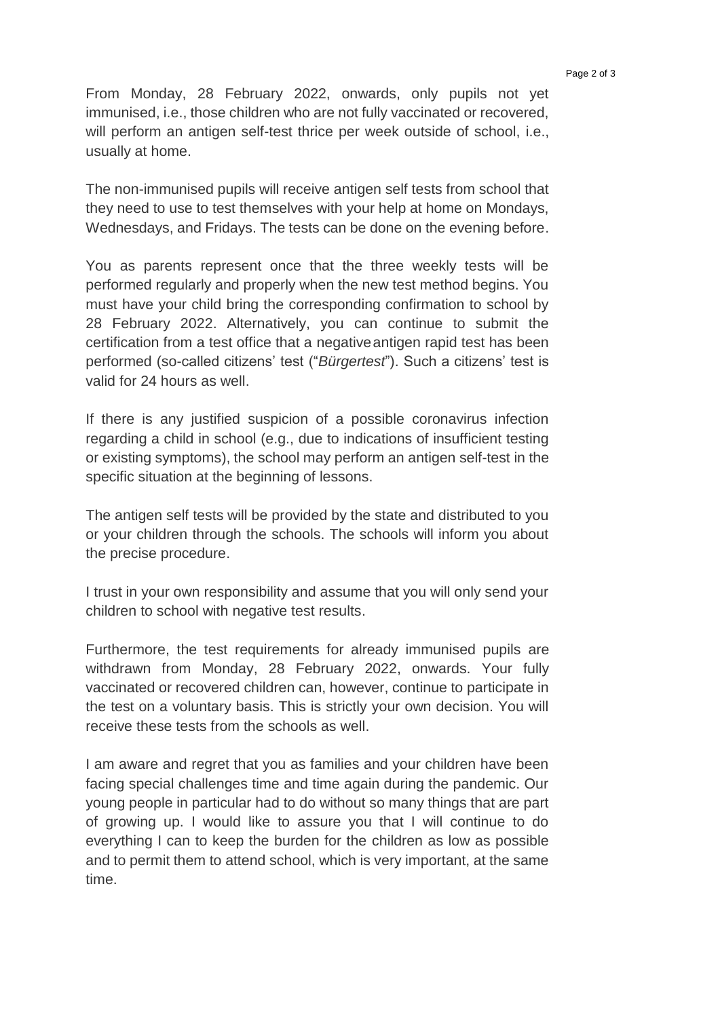From Monday, 28 February 2022, onwards, only pupils not yet immunised, i.e., those children who are not fully vaccinated or recovered, will perform an antigen self-test thrice per week outside of school, i.e., usually at home.

The non-immunised pupils will receive antigen self tests from school that they need to use to test themselves with your help at home on Mondays, Wednesdays, and Fridays. The tests can be done on the evening before.

You as parents represent once that the three weekly tests will be performed regularly and properly when the new test method begins. You must have your child bring the corresponding confirmation to school by 28 February 2022. Alternatively, you can continue to submit the certification from a test office that a negativeantigen rapid test has been performed (so-called citizens' test ("*Bürgertest*"). Such a citizens' test is valid for 24 hours as well.

If there is any justified suspicion of a possible coronavirus infection regarding a child in school (e.g., due to indications of insufficient testing or existing symptoms), the school may perform an antigen self-test in the specific situation at the beginning of lessons.

The antigen self tests will be provided by the state and distributed to you or your children through the schools. The schools will inform you about the precise procedure.

I trust in your own responsibility and assume that you will only send your children to school with negative test results.

Furthermore, the test requirements for already immunised pupils are withdrawn from Monday, 28 February 2022, onwards. Your fully vaccinated or recovered children can, however, continue to participate in the test on a voluntary basis. This is strictly your own decision. You will receive these tests from the schools as well.

I am aware and regret that you as families and your children have been facing special challenges time and time again during the pandemic. Our young people in particular had to do without so many things that are part of growing up. I would like to assure you that I will continue to do everything I can to keep the burden for the children as low as possible and to permit them to attend school, which is very important, at the same time.